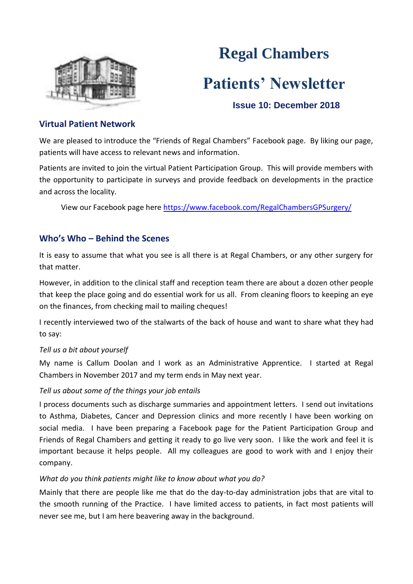

# **Regal Chambers Patients' Newsletter**

# **Issue 10: December 2018**

## **Virtual Patient Network**

We are pleased to introduce the "Friends of Regal Chambers" Facebook page. By liking our page, patients will have access to relevant news and information.

Patients are invited to join the virtual Patient Participation Group. This will provide members with the opportunity to participate in surveys and provide feedback on developments in the practice and across the locality.

View our Facebook page here https://www.facebook.com/RegalChambersGPSurgery/

# **Who's Who – Behind the Scenes**

It is easy to assume that what you see is all there is at Regal Chambers, or any other surgery for that matter.

However, in addition to the clinical staff and reception team there are about a dozen other people that keep the place going and do essential work for us all. From cleaning floors to keeping an eye on the finances, from checking mail to mailing cheques!

I recently interviewed two of the stalwarts of the back of house and want to share what they had to say:

#### *Tell us a bit about yourself*

My name is Callum Doolan and I work as an Administrative Apprentice. I started at Regal Chambers in November 2017 and my term ends in May next year.

### *Tell us about some of the things your job entails*

I process documents such as discharge summaries and appointment letters. I send out invitations to Asthma, Diabetes, Cancer and Depression clinics and more recently I have been working on social media. I have been preparing a Facebook page for the Patient Participation Group and Friends of Regal Chambers and getting it ready to go live very soon. I like the work and feel it is important because it helps people. All my colleagues are good to work with and I enjoy their company.

#### *What do you think patients might like to know about what you do?*

Mainly that there are people like me that do the day-to-day administration jobs that are vital to the smooth running of the Practice. I have limited access to patients, in fact most patients will never see me, but I am here beavering away in the background.